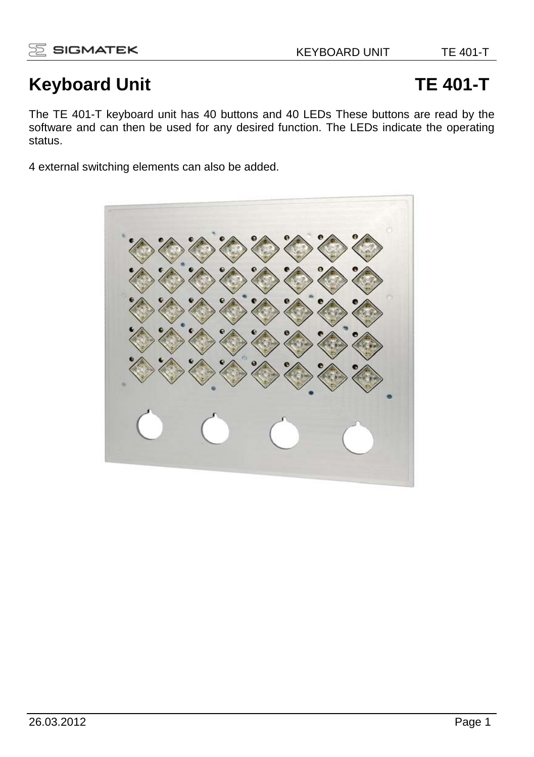# **Keyboard Unit TE 401-T**

The TE 401-T keyboard unit has 40 buttons and 40 LEDs These buttons are read by the software and can then be used for any desired function. The LEDs indicate the operating status.

4 external switching elements can also be added.

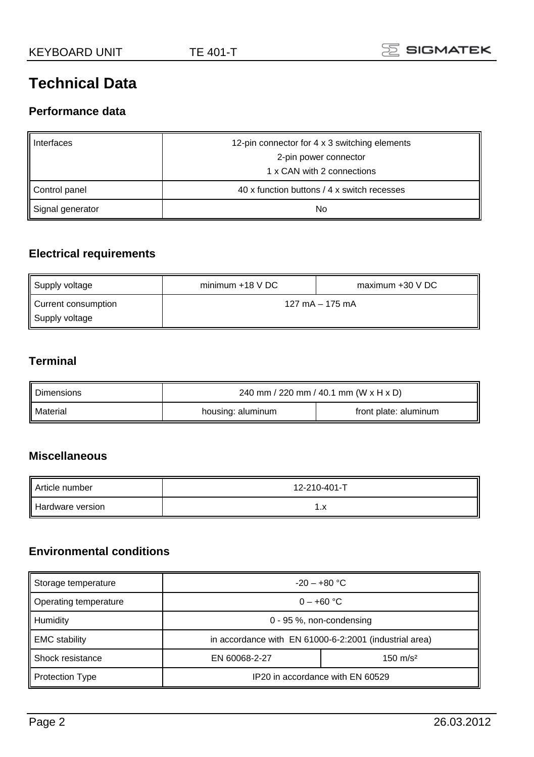# **Technical Data**

#### **Performance data**

| Interfaces       | 12-pin connector for 4 x 3 switching elements |
|------------------|-----------------------------------------------|
|                  | 2-pin power connector                         |
|                  | 1 x CAN with 2 connections                    |
| Control panel    | 40 x function buttons / 4 x switch recesses   |
| Signal generator | No                                            |

## **Electrical requirements**

| Supply voltage                        | $minimum + 18 VDC$<br>maximum +30 V DC |                 |
|---------------------------------------|----------------------------------------|-----------------|
| Current consumption<br>Supply voltage |                                        | 127 mA - 175 mA |

## **Terminal**

L.

| Dimensions | 240 mm / 220 mm / 40.1 mm (W x H x D) |                       |  |  |
|------------|---------------------------------------|-----------------------|--|--|
| Material   | housing: aluminum                     | front plate: aluminum |  |  |

### **Miscellaneous**

| Article number   | 12-210-401-T |
|------------------|--------------|
| Hardware version | $\cdot$      |

# **Environmental conditions**

| Storage temperature     | $-20 - +80$ °C                                         |  |  |  |
|-------------------------|--------------------------------------------------------|--|--|--|
| Operating temperature   | $0 - +60$ °C                                           |  |  |  |
| Humidity                | 0 - 95 %, non-condensing                               |  |  |  |
| <b>EMC</b> stability    | in accordance with EN 61000-6-2:2001 (industrial area) |  |  |  |
| <b>Shock resistance</b> | $150 \text{ m/s}^2$<br>EN 60068-2-27                   |  |  |  |
| Protection Type         | IP20 in accordance with EN 60529                       |  |  |  |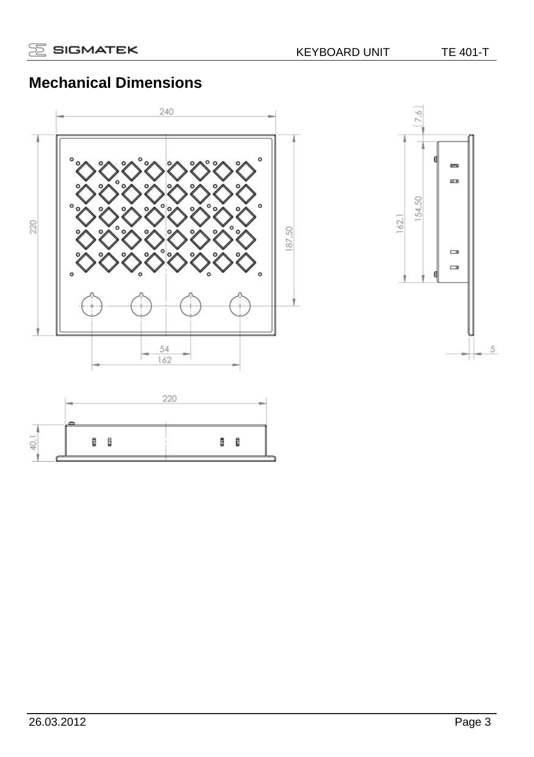# **Mechanical Dimensions**





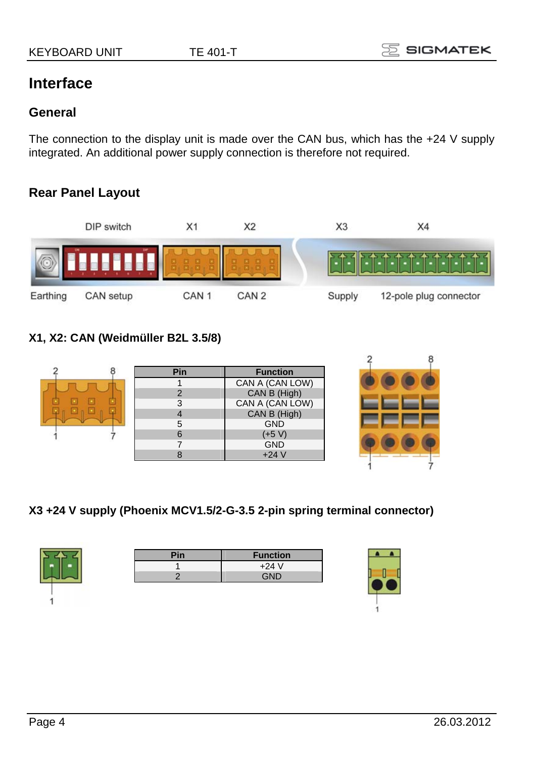# **Interface**

#### **General**

The connection to the display unit is made over the CAN bus, which has the +24 V supply integrated. An additional power supply connection is therefore not required.

# **Rear Panel Layout**



## **X1, X2: CAN (Weidmüller B2L 3.5/8)**

|  | Pin | <b>Function</b> |  |
|--|-----|-----------------|--|
|  |     | CAN A (CAN LOW) |  |
|  | C   | CAN B (High)    |  |
|  | 3   | CAN A (CAN LOW) |  |
|  |     | CAN B (High)    |  |
|  | 5   | <b>GND</b>      |  |
|  | 6   | $(+5 V)$        |  |
|  |     | <b>GND</b>      |  |
|  |     | $+24V$          |  |
|  |     |                 |  |

#### **X3 +24 V supply (Phoenix MCV1.5/2-G-3.5 2-pin spring terminal connector)**



| Pin | <b>Function</b> |
|-----|-----------------|
|     | $+24V$          |
|     | <b>GND</b>      |
|     |                 |



 $\overline{2}$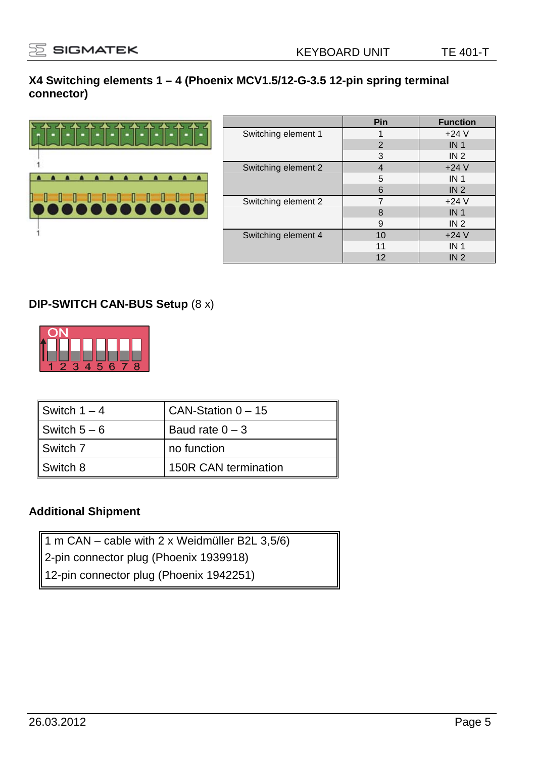#### **X4 Switching elements 1 – 4 (Phoenix MCV1.5/12-G-3.5 12-pin spring terminal connector)**



|                     | Pin            | <b>Function</b> |
|---------------------|----------------|-----------------|
| Switching element 1 |                | $+24V$          |
|                     | $\overline{2}$ | IN <sub>1</sub> |
|                     | 3              | IN <sub>2</sub> |
| Switching element 2 | 4              | $+24V$          |
|                     | 5              | IN <sub>1</sub> |
|                     | 6              | IN <sub>2</sub> |
| Switching element 2 | 7              | $+24V$          |
|                     | 8              | IN <sub>1</sub> |
|                     | 9              | IN <sub>2</sub> |
| Switching element 4 | 10             | $+24V$          |
|                     | 11             | IN <sub>1</sub> |
|                     | 12             | IN <sub>2</sub> |

### **DIP-SWITCH CAN-BUS Setup** (8 x)



| Switch $1 - 4$ | CAN-Station $0 - 15$ |
|----------------|----------------------|
| Switch $5-6$   | Baud rate $0 - 3$    |
| Switch 7       | no function          |
| Switch 8       | 150R CAN termination |

### **Additional Shipment**

- 1 m CAN cable with 2 x Weidmüller B2L 3,5/6)
- 2-pin connector plug (Phoenix 1939918)
- 12-pin connector plug (Phoenix 1942251)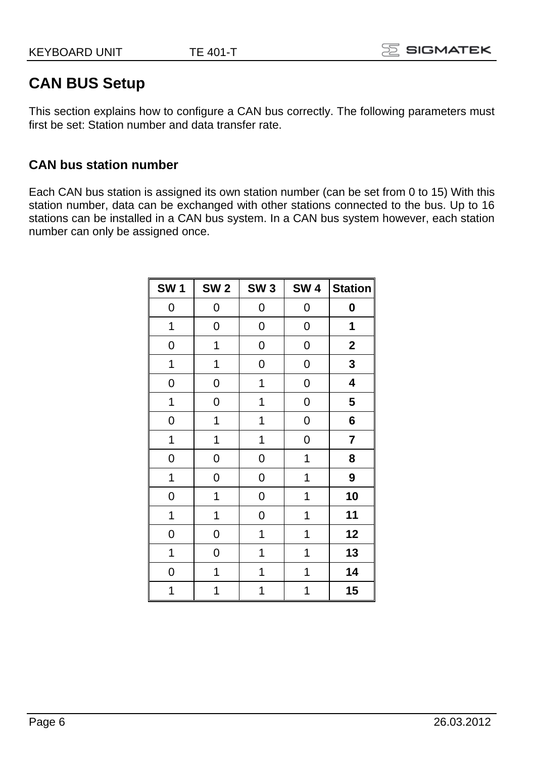# **CAN BUS Setup**

This section explains how to configure a CAN bus correctly. The following parameters must first be set: Station number and data transfer rate.

## **CAN bus station number**

Each CAN bus station is assigned its own station number (can be set from 0 to 15) With this station number, data can be exchanged with other stations connected to the bus. Up to 16 stations can be installed in a CAN bus system. In a CAN bus system however, each station number can only be assigned once.

| <b>SW1</b> | <b>SW 2</b> | SW <sub>3</sub> | <b>SW4</b> | <b>Station</b> |
|------------|-------------|-----------------|------------|----------------|
| 0          | 0           | 0               | 0          | 0              |
| 1          | 0           | 0               | 0          | 1              |
| 0          | 1           | 0               | 0          | $\mathbf 2$    |
| 1          | 1           | 0               | 0          | 3              |
| 0          | 0           | 1               | 0          | 4              |
| 1          | 0           | 1               | 0          | 5              |
| 0          | 1           | 1               | 0          | 6              |
| 1          | 1           | 1               | 0          | 7              |
| 0          | 0           | 0               | 1          | 8              |
| 1          | 0           | 0               | 1          | 9              |
| 0          | 1           | 0               | 1          | 10             |
| 1          | 1           | 0               | 1          | 11             |
| 0          | 0           | 1               | 1          | 12             |
| 1          | 0           | 1               | 1          | 13             |
| 0          | 1           | 1               | 1          | 14             |
| 1          | 1           | 1               | 1          | 15             |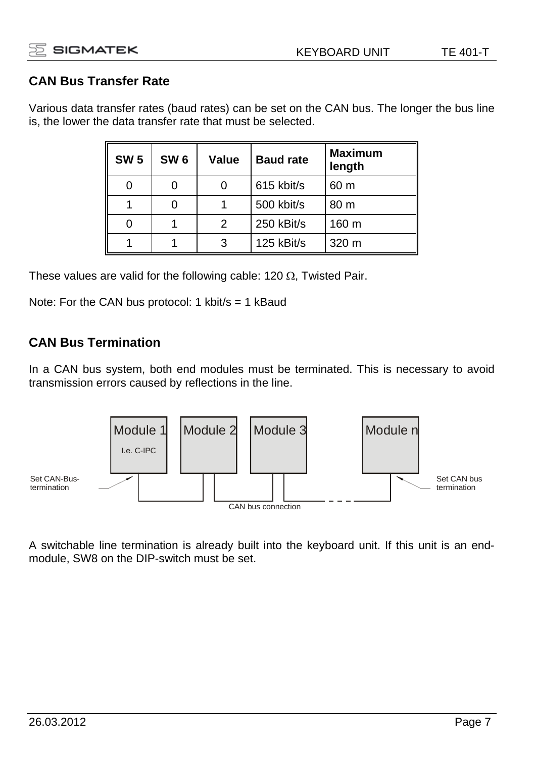## **CAN Bus Transfer Rate**

Various data transfer rates (baud rates) can be set on the CAN bus. The longer the bus line is, the lower the data transfer rate that must be selected.

| <b>SW 5</b> | SW <sub>6</sub> | Value | <b>Baud rate</b> | <b>Maximum</b><br>length |
|-------------|-----------------|-------|------------------|--------------------------|
| ი           |                 |       | 615 kbit/s       | 60 m                     |
|             |                 |       | 500 kbit/s       | 80 m                     |
|             |                 |       | 250 kBit/s       | 160 m                    |
|             |                 |       | 125 kBit/s       | 320 m                    |

These values are valid for the following cable: 120  $\Omega$ , Twisted Pair.

Note: For the CAN bus protocol: 1 kbit/s = 1 kBaud

## **CAN Bus Termination**

In a CAN bus system, both end modules must be terminated. This is necessary to avoid transmission errors caused by reflections in the line.



A switchable line termination is already built into the keyboard unit. If this unit is an endmodule, SW8 on the DIP-switch must be set.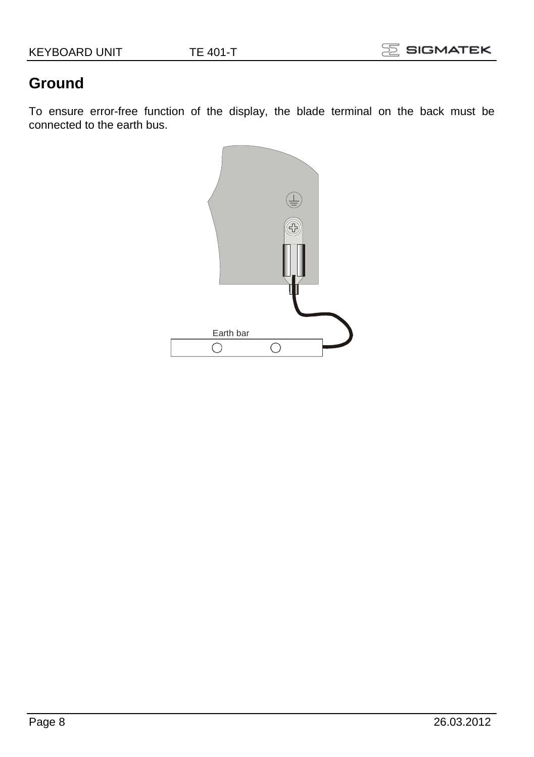# **Ground**

To ensure error-free function of the display, the blade terminal on the back must be connected to the earth bus.

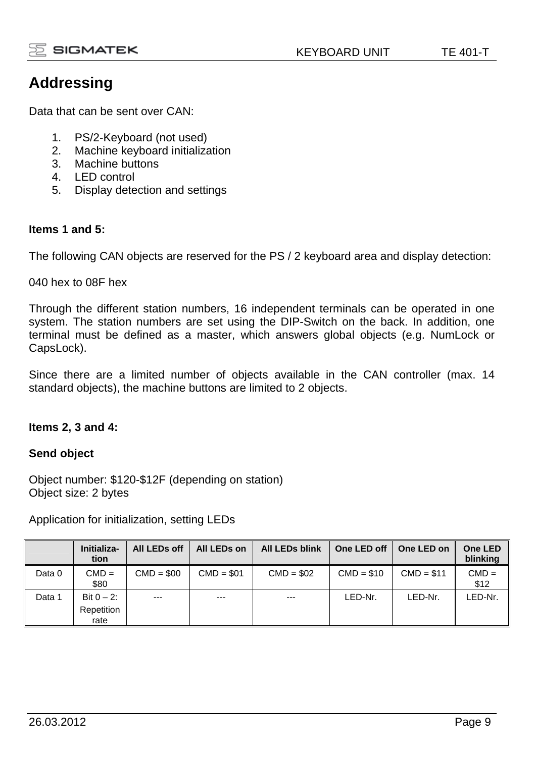

# **Addressing**

Data that can be sent over CAN:

- 1. PS/2-Keyboard (not used)
- 2. Machine keyboard initialization
- 3. Machine buttons
- 4. LED control
- 5. Display detection and settings

#### **Items 1 and 5:**

The following CAN objects are reserved for the PS / 2 keyboard area and display detection:

040 hex to 08F hex

Through the different station numbers, 16 independent terminals can be operated in one system. The station numbers are set using the DIP-Switch on the back. In addition, one terminal must be defined as a master, which answers global objects (e.g. NumLock or CapsLock).

Since there are a limited number of objects available in the CAN controller (max. 14 standard objects), the machine buttons are limited to 2 objects.

#### **Items 2, 3 and 4:**

#### **Send object**

Object number: \$120-\$12F (depending on station) Object size: 2 bytes

Application for initialization, setting LEDs

|        | Initializa-<br>tion                 | All LEDs off | All LEDs on       | All LEDs blink | One LED off | One LED on  | One LED<br>blinking |
|--------|-------------------------------------|--------------|-------------------|----------------|-------------|-------------|---------------------|
| Data 0 | $CMD =$<br>\$80                     | $CMD = $00$  | $CMD = $01$       | $CMD = $02$    | $CMD = $10$ | $CMD = $11$ | $CMD =$<br>\$12     |
| Data 1 | Bit $0 - 2$ :<br>Repetition<br>rate | ---          | $\qquad \qquad -$ | $--$           | LED-Nr.     | LED-Nr.     | LED-Nr.             |